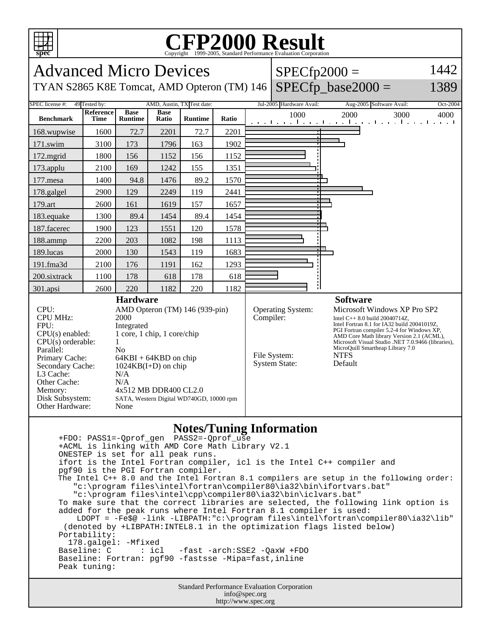

## **Notes/Tuning Information**

 +FDO: PASS1=-Qprof\_gen PASS2=-Qprof\_use +ACML is linking with AMD Core Math Library V2.1 ONESTEP is set for all peak runs. ifort is the Intel Fortran compiler, icl is the Intel C++ compiler and pgf90 is the PGI Fortran compiler. The Intel C++ 8.0 and the Intel Fortran 8.1 compilers are setup in the following order: "c:\program files\intel\fortran\compiler80\ia32\bin\ifortvars.bat" "c:\program files\intel\cpp\compiler80\ia32\bin\iclvars.bat" To make sure that the correct libraries are selected, the following link option is added for the peak runs where Intel Fortran 8.1 compiler is used: LDOPT = -Fe\$@ -link -LIBPATH:"c:\program files\intel\fortran\compiler80\ia32\lib" (denoted by +LIBPATH:INTEL8.1 in the optimization flags listed below) Portability: 178.galgel: -Mfixed<br>Baseline: C : icl -fast -arch: SSE2 -QaxW +FDO Baseline: Fortran: pgf90 -fastsse -Mipa=fast,inline Peak tuning:

Standard Performance Evaluation Corporation info@spec.org http://www.spec.org